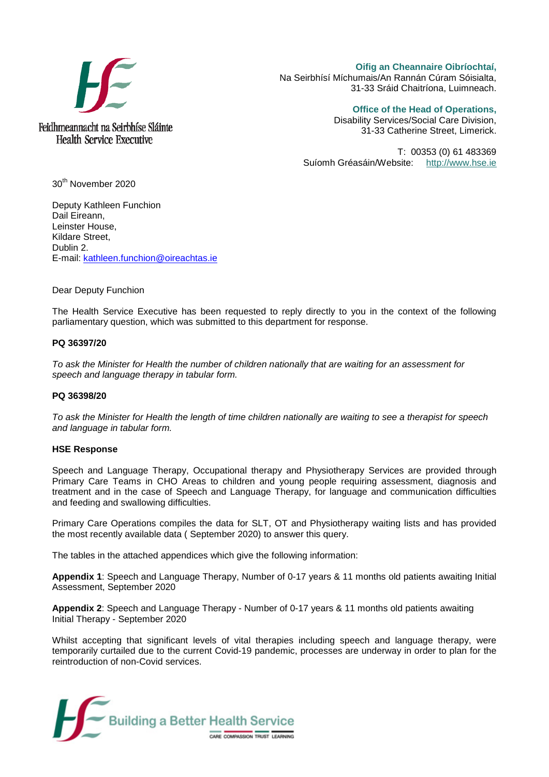

**Oifig an Cheannaire Oibríochtaí,**  Na Seirbhísí Míchumais/An Rannán Cúram Sóisialta, 31-33 Sráid Chaitríona, Luimneach.

**Office of the Head of Operations,** 

Disability Services/Social Care Division, 31-33 Catherine Street, Limerick.

T: 00353 (0) 61 483369 Suíomh Gréasáin/Website: [http://www.hse.ie](http://www.hse.ie/)

30<sup>th</sup> November 2020

Deputy Kathleen Funchion Dail Eireann, Leinster House, Kildare Street, Dublin 2. E-mail: [kathleen.funchion@oireachtas.ie](mailto:kathleen.funchion@oireachtas.ie)

## Dear Deputy Funchion

The Health Service Executive has been requested to reply directly to you in the context of the following parliamentary question, which was submitted to this department for response.

#### **PQ 36397/20**

*To ask the Minister for Health the number of children nationally that are waiting for an assessment for speech and language therapy in tabular form.*

#### **PQ 36398/20**

*To ask the Minister for Health the length of time children nationally are waiting to see a therapist for speech and language in tabular form.*

## **HSE Response**

Speech and Language Therapy, Occupational therapy and Physiotherapy Services are provided through Primary Care Teams in CHO Areas to children and young people requiring assessment, diagnosis and treatment and in the case of Speech and Language Therapy, for language and communication difficulties and feeding and swallowing difficulties.

Primary Care Operations compiles the data for SLT, OT and Physiotherapy waiting lists and has provided the most recently available data ( September 2020) to answer this query.

The tables in the attached appendices which give the following information:

**Appendix 1**: Speech and Language Therapy, Number of 0-17 years & 11 months old patients awaiting Initial Assessment, September 2020

**Appendix 2**: Speech and Language Therapy - Number of 0-17 years & 11 months old patients awaiting Initial Therapy - September 2020

Whilst accepting that significant levels of vital therapies including speech and language therapy, were temporarily curtailed due to the current Covid-19 pandemic, processes are underway in order to plan for the reintroduction of non-Covid services.

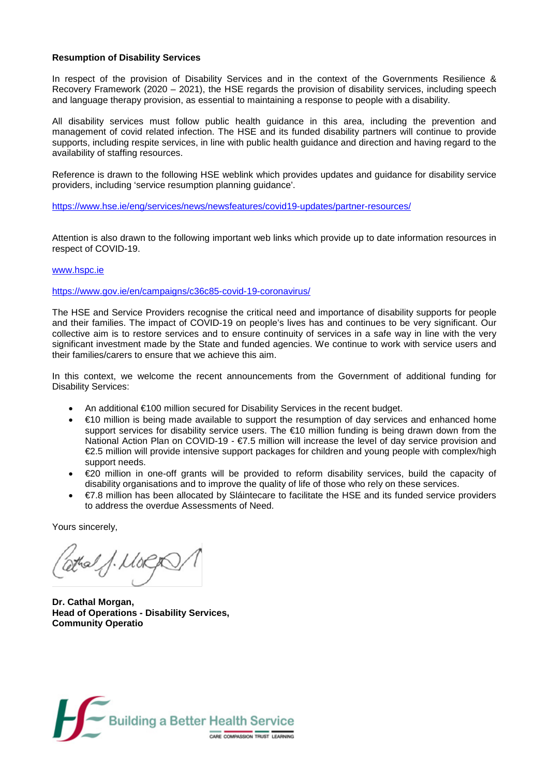## **Resumption of Disability Services**

In respect of the provision of Disability Services and in the context of the Governments Resilience & Recovery Framework (2020 – 2021), the HSE regards the provision of disability services, including speech and language therapy provision, as essential to maintaining a response to people with a disability.

All disability services must follow public health guidance in this area, including the prevention and management of covid related infection. The HSE and its funded disability partners will continue to provide supports, including respite services, in line with public health guidance and direction and having regard to the availability of staffing resources.

Reference is drawn to the following HSE weblink which provides updates and guidance for disability service providers, including 'service resumption planning guidance'.

<https://www.hse.ie/eng/services/news/newsfeatures/covid19-updates/partner-resources/>

Attention is also drawn to the following important web links which provide up to date information resources in respect of COVID-19.

#### [www.hspc.ie](http://www.hspc.ie/)

## <https://www.gov.ie/en/campaigns/c36c85-covid-19-coronavirus/>

The HSE and Service Providers recognise the critical need and importance of disability supports for people and their families. The impact of COVID-19 on people's lives has and continues to be very significant. Our collective aim is to restore services and to ensure continuity of services in a safe way in line with the very significant investment made by the State and funded agencies. We continue to work with service users and their families/carers to ensure that we achieve this aim.

In this context, we welcome the recent announcements from the Government of additional funding for Disability Services:

- An additional €100 million secured for Disability Services in the recent budget.
- €10 million is being made available to support the resumption of day services and enhanced home support services for disability service users. The €10 million funding is being drawn down from the National Action Plan on COVID-19 - €7.5 million will increase the level of day service provision and €2.5 million will provide intensive support packages for children and young people with complex/high support needs.
- €20 million in one-off grants will be provided to reform disability services, build the capacity of disability organisations and to improve the quality of life of those who rely on these services.
- €7.8 million has been allocated by Sláintecare to facilitate the HSE and its funded service providers to address the overdue Assessments of Need.

Yours sincerely,

 $\lambda$ 

**Dr. Cathal Morgan, Head of Operations - Disability Services, Community Operatio**

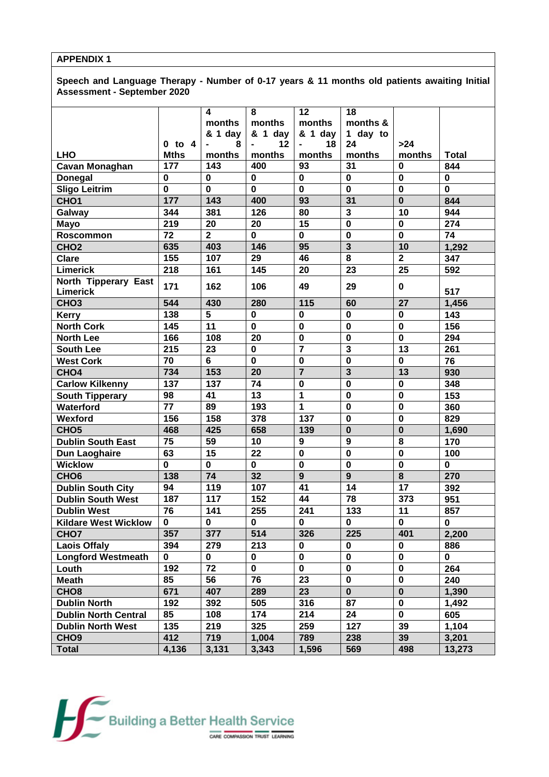# **APPENDIX 1**

**Speech and Language Therapy - Number of 0-17 years & 11 months old patients awaiting Initial Assessment - September 2020**

|                                          |                           | $\overline{\mathbf{4}}$       | 8                                            | 12                              | 18                      |                         |              |
|------------------------------------------|---------------------------|-------------------------------|----------------------------------------------|---------------------------------|-------------------------|-------------------------|--------------|
|                                          |                           | months                        | months                                       | months                          | months &                |                         |              |
|                                          |                           | & 1 day                       | & 1 day<br>12 <sub>2</sub><br>$\blacksquare$ | & 1 day<br>18<br>$\blacksquare$ | 1 day to<br>24          | $>24$                   |              |
| <b>LHO</b>                               | $0$ to $4$<br><b>Mths</b> | $\blacksquare$<br>8<br>months | months                                       | months                          | months                  | months                  | <b>Total</b> |
| <b>Cavan Monaghan</b>                    | 177                       | 143                           | 400                                          | 93                              | 31                      | $\bf{0}$                | 844          |
| <b>Donegal</b>                           | $\mathbf 0$               | $\mathbf 0$                   | $\mathbf 0$                                  | $\mathbf 0$                     | $\mathbf 0$             | $\mathbf 0$             | $\mathbf 0$  |
|                                          | $\mathbf 0$               | $\mathbf 0$                   | $\mathbf{0}$                                 | $\mathbf 0$                     | $\mathbf 0$             | $\mathbf 0$             | $\mathbf 0$  |
| <b>Sligo Leitrim</b><br>CHO <sub>1</sub> | $\frac{177}{177}$         | $\overline{143}$              | 400                                          | 93                              | $\overline{31}$         | $\overline{\mathbf{0}}$ | 844          |
|                                          | 344                       | 381                           | 126                                          | 80                              | $\overline{\mathbf{3}}$ | 10                      | 944          |
| Galway                                   | 219                       | 20                            | 20                                           | 15                              | $\mathbf 0$             | $\mathbf 0$             | 274          |
| <b>Mayo</b>                              | 72                        | $\overline{2}$                | $\mathbf 0$                                  | $\overline{\mathbf{0}}$         | $\mathbf 0$             | $\mathbf 0$             | 74           |
| <b>Roscommon</b>                         |                           |                               |                                              |                                 |                         |                         |              |
| CHO <sub>2</sub>                         | 635                       | 403                           | 146                                          | 95                              | $\overline{\mathbf{3}}$ | 10                      | 1,292        |
| <b>Clare</b>                             | 155                       | 107                           | 29                                           | 46                              | $\overline{\mathbf{8}}$ | $\overline{2}$          | 347          |
| <b>Limerick</b>                          | 218                       | 161                           | 145                                          | 20                              | 23                      | $\overline{25}$         | 592          |
| <b>North Tipperary East</b>              | 171                       | 162                           | 106                                          | 49                              | 29                      | $\mathbf 0$             |              |
| <b>Limerick</b>                          |                           |                               |                                              |                                 |                         |                         | 517          |
| CHO <sub>3</sub>                         | 544                       | 430                           | 280                                          | 115                             | 60                      | 27                      | 1,456        |
| <b>Kerry</b>                             | 138                       | $5\phantom{.0}$               | $\mathbf 0$                                  | $\pmb{0}$                       | $\pmb{0}$               | $\mathbf 0$             | 143          |
| <b>North Cork</b>                        | 145                       | 11                            | $\mathbf 0$                                  | $\mathbf 0$                     | $\mathbf 0$             | $\mathbf 0$             | 156          |
| <b>North Lee</b>                         | 166                       | 108                           | 20                                           | $\pmb{0}$                       | $\mathbf 0$             | $\mathbf 0$             | 294          |
| <b>South Lee</b>                         | 215                       | 23                            | $\mathbf 0$                                  | $\overline{7}$                  | $\overline{\mathbf{3}}$ | 13                      | 261          |
| <b>West Cork</b>                         | 70                        | $\overline{6}$                | $\overline{\mathbf{0}}$                      | $\mathbf 0$                     | $\mathbf 0$             | $\mathbf 0$             | 76           |
| CHO <sub>4</sub>                         | 734                       | 153                           | 20                                           |                                 | $\overline{\mathbf{3}}$ | 13                      | 930          |
| <b>Carlow Kilkenny</b>                   | 137                       | 137                           | 74                                           | $\mathbf 0$                     | $\mathbf 0$             | $\mathbf 0$             | 348          |
| <b>South Tipperary</b>                   | 98                        | 41                            | 13                                           | $\overline{1}$                  | $\overline{\mathbf{0}}$ | $\overline{\mathbf{0}}$ | 153          |
| Waterford                                | 77                        | 89                            | 193                                          | 1                               | $\mathbf 0$             | $\mathbf 0$             | 360          |
| Wexford                                  | 156                       | 158                           | 378                                          | 137                             | $\mathbf 0$             | $\mathbf 0$             | 829          |
| CHO <sub>5</sub>                         | 468                       | 425                           | 658                                          | 139                             | $\mathbf 0$             | $\bf{0}$                | 1,690        |
| <b>Dublin South East</b>                 | 75                        | 59                            | 10                                           | $\boldsymbol{9}$                | $\boldsymbol{9}$        | 8                       | 170          |
| <b>Dun Laoghaire</b>                     | 63                        | 15                            | 22                                           | $\mathbf 0$                     | $\overline{\mathbf{0}}$ | $\mathbf 0$             | 100          |
| <b>Wicklow</b>                           | $\mathbf{0}$              | $\mathbf{0}$                  | $\mathbf{0}$                                 | $\mathbf 0$                     | $\mathbf 0$             | $\mathbf 0$             | $\mathbf{0}$ |
| CHO <sub>6</sub>                         | 138                       | $\overline{74}$               | 32                                           | $\overline{9}$                  | $\overline{9}$          | $\overline{\mathbf{8}}$ | 270          |
| <b>Dublin South City</b>                 | 94                        | 119                           | 107                                          | 41                              | 14                      | $\overline{17}$         | 392          |
| <b>Dublin South West</b>                 | 187                       | 117                           | 152                                          | 44                              | $\overline{78}$         | 373                     | 951          |
| <b>Dublin West</b>                       | 76                        | 141                           | 255                                          | 241                             | 133                     | 11                      | 857          |
| <b>Kildare West Wicklow</b>              | 0                         | $\mathbf 0$                   | $\mathbf 0$                                  | 0                               | $\mathbf 0$             | 0                       | 0            |
| CHO7                                     | 357                       | 377                           | 514                                          | 326                             | 225                     | 401                     | 2,200        |
| <b>Laois Offaly</b>                      | 394                       | 279                           | 213                                          | 0                               | 0                       | $\mathbf 0$             | 886          |
| <b>Longford Westmeath</b>                | 0                         | $\mathbf 0$                   | 0                                            | 0                               | 0                       | $\mathbf 0$             | 0            |
| Louth                                    | 192                       | 72                            | 0                                            | 0                               | $\pmb{0}$               | $\pmb{0}$               | 264          |
| <b>Meath</b>                             | 85                        | 56                            | 76                                           | 23                              | 0                       | 0                       | 240          |
| CHO <sub>8</sub>                         | 671                       | 407                           | 289                                          | 23                              | $\mathbf 0$             | $\mathbf 0$             | 1,390        |
|                                          | 192                       | 392                           |                                              |                                 | 87                      | $\mathbf 0$             |              |
| <b>Dublin North</b>                      |                           |                               | 505                                          | 316                             |                         | $\mathbf 0$             | 1,492        |
| <b>Dublin North Central</b>              | 85                        | 108                           | 174                                          | 214                             | 24                      |                         | 605          |
| <b>Dublin North West</b>                 | 135                       | 219                           | 325                                          | 259                             | 127                     | 39                      | 1,104        |
| CHO <sub>9</sub>                         | 412                       | 719                           | 1,004                                        | 789                             | 238                     | 39                      | 3,201        |
| <b>Total</b>                             | 4,136                     | 3,131                         | 3,343                                        | 1,596                           | 569                     | 498                     | 13,273       |